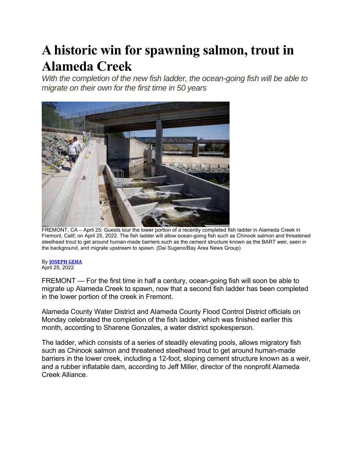## **A historic win for spawning salmon, trout in Alameda Creek**

With the completion of the new fish ladder, the ocean-going fish will be able to *migrate on their own for the first time in 50 years* 



FREMONT, CA – April 25: Guests tour the lower portion of a recently completed fish ladder in Alameda Creek in Fremont, Calif, on April 25, 2022. The fish ladder will allow ocean-going fish such as Chinook salmon and threatened steelhead trout to get around human-made barriers such as the cement structure known as the BART weir, seen in the background, and migrate upstream to spawn. (Dai Sugano/Bay Area News Group)

## By **JOSEPH GEHA**

April 25, 2022

FREMONT — For the first time in half a century, ocean-going fish will soon be able to migrate up Alameda Creek to spawn, now that a second fish ladder has been completed in the lower portion of the creek in Fremont.

Alameda County Water District and Alameda County Flood Control District officials on Monday celebrated the completion of the fish ladder, which was finished earlier this month, according to Sharene Gonzales, a water district spokesperson.

The ladder, which consists of a series of steadily elevating pools, allows migratory fish such as Chinook salmon and threatened steelhead trout to get around human-made barriers in the lower creek, including a 12-foot, sloping cement structure known as a weir, and a rubber inflatable dam, according to Jeff Miller, director of the nonprofit Alameda Creek Alliance.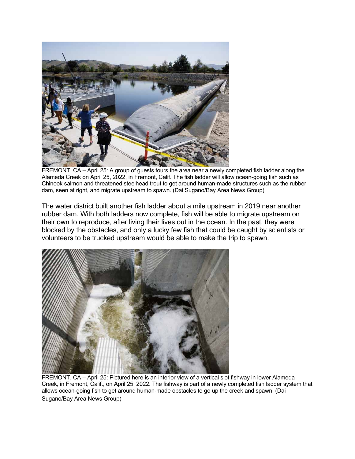

FREMONT, CA – April 25: A group of guests tours the area near a newly completed fish ladder along the Alameda Creek on April 25, 2022, in Fremont, Calif. The fish ladder will allow ocean-going fish such as Chinook salmon and threatened steelhead trout to get around human-made structures such as the rubber dam, seen at right, and migrate upstream to spawn. (Dai Sugano/Bay Area News Group)

The water district built another fish ladder about a mile upstream in 2019 near another rubber dam. With both ladders now complete, fish will be able to migrate upstream on their own to reproduce, after living their lives out in the ocean. In the past, they were blocked by the obstacles, and only a lucky few fish that could be caught by scientists or volunteers to be trucked upstream would be able to make the trip to spawn.



FREMONT, CA – April 25: Pictured here is an interior view of a vertical slot fishway in lower Alameda Creek, in Fremont, Calif., on April 25, 2022. The fishway is part of a newly completed fish ladder system that allows ocean-going fish to get around human-made obstacles to go up the creek and spawn. (Dai Sugano/Bay Area News Group)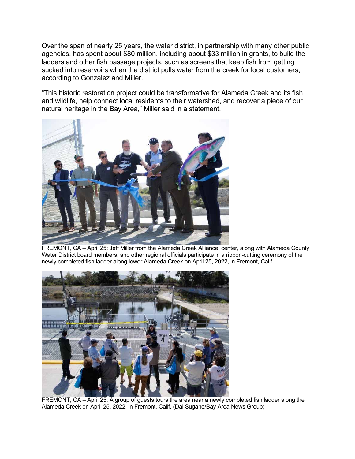Over the span of nearly 25 years, the water district, in partnership with many other public agencies, has spent about \$80 million, including about \$33 million in grants, to build the ladders and other fish passage projects, such as screens that keep fish from getting sucked into reservoirs when the district pulls water from the creek for local customers, according to Gonzalez and Miller.

"This historic restoration project could be transformative for Alameda Creek and its fish and wildlife, help connect local residents to their watershed, and recover a piece of our natural heritage in the Bay Area," Miller said in a statement.



FREMONT, CA – April 25: Jeff Miller from the Alameda Creek Alliance, center, along with Alameda County Water District board members, and other regional officials participate in a ribbon-cutting ceremony of the newly completed fish ladder along lower Alameda Creek on April 25, 2022, in Fremont, Calif.



FREMONT, CA – April 25: A group of guests tours the area near a newly completed fish ladder along the Alameda Creek on April 25, 2022, in Fremont, Calif. (Dai Sugano/Bay Area News Group)